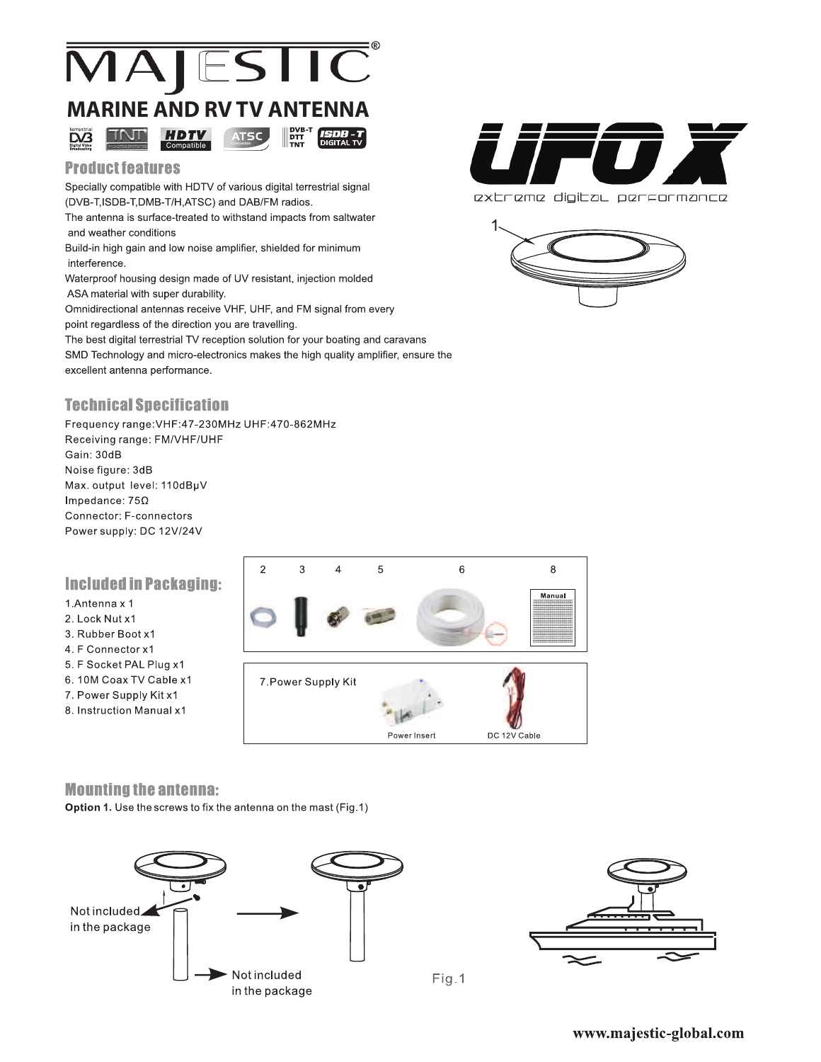

### **Product features**

Specially compatible with HDTV of various digital terrestrial signal (DVB-T,ISDB-T,DMB-T/H,ATSC) and DAB/FM radios.

The antenna is surface-treated to withstand impacts from saltwater and weather conditions

Build-in high gain and low noise amplifier, shielded for minimum interference.

Waterproof housing design made of UV resistant, injection molded ASA material with super durability.

Omnidirectional antennas receive VHF, UHF, and FM signal from every point regardless of the direction you are travelling.

The best digital terrestrial TV reception solution for your boating and caravans SMD Technology and micro-electronics makes the high quality amplifier, ensure the excellent antenna performance.

# **Technical Specification**

Frequency range: VHF: 47-230MHz UHF: 470-862MHz Receiving range: FM/VHF/UHF Gain: 30dB Noise figure: 3dB Max. output level: 110dBµV Impedance:  $75\Omega$ Connector: F-connectors Power supply: DC 12V/24V

## **Included in Packaging:**

#### 1.Antenna x 1

- 2. Lock Nut x1
- 3. Rubber Boot x1
- 4. F Connector x1
- 5. F Socket PAL Plug x1
- 6.10M Coax TV Cable x1
- 7. Power Supply Kit x1
- 8. Instruction Manual x1



#### **Mounting the antenna:**

Option 1. Use the screws to fix the antenna on the mast (Fig.1)





Fig.1